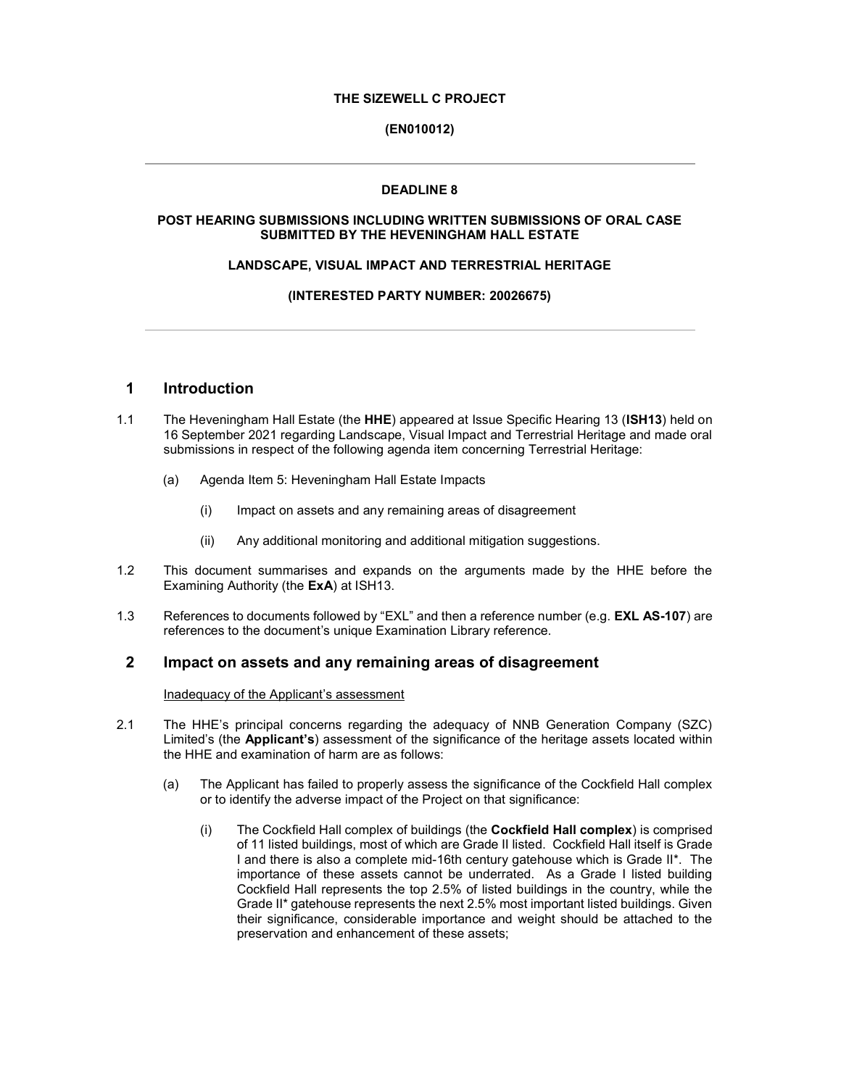# THE SIZEWELL C PROJECT

# (EN010012)

# DEADLINE 8

# POST HEARING SUBMISSIONS INCLUDING WRITTEN SUBMISSIONS OF ORAL CASE SUBMITTED BY THE HEVENINGHAM HALL ESTATE

### LANDSCAPE, VISUAL IMPACT AND TERRESTRIAL HERITAGE

# (INTERESTED PARTY NUMBER: 20026675)

# 1 Introduction

- 1.1 The Heveningham Hall Estate (the HHE) appeared at Issue Specific Hearing 13 (ISH13) held on 16 September 2021 regarding Landscape, Visual Impact and Terrestrial Heritage and made oral submissions in respect of the following agenda item concerning Terrestrial Heritage:
	- (a) Agenda Item 5: Heveningham Hall Estate Impacts
		- (i) Impact on assets and any remaining areas of disagreement
		- (ii) Any additional monitoring and additional mitigation suggestions.
- 1.2 This document summarises and expands on the arguments made by the HHE before the Examining Authority (the ExA) at ISH13.
- 1.3 References to documents followed by "EXL" and then a reference number (e.g. **EXL AS-107**) are references to the document's unique Examination Library reference.

# 2 Impact on assets and any remaining areas of disagreement

Inadequacy of the Applicant's assessment

- 2.1 The HHE's principal concerns regarding the adequacy of NNB Generation Company (SZC) Limited's (the Applicant's) assessment of the significance of the heritage assets located within the HHE and examination of harm are as follows:
	- (a) The Applicant has failed to properly assess the significance of the Cockfield Hall complex or to identify the adverse impact of the Project on that significance:
		- (i) The Cockfield Hall complex of buildings (the Cockfield Hall complex) is comprised of 11 listed buildings, most of which are Grade II listed. Cockfield Hall itself is Grade I and there is also a complete mid-16th century gatehouse which is Grade II\*. The importance of these assets cannot be underrated. As a Grade I listed building Cockfield Hall represents the top 2.5% of listed buildings in the country, while the Grade II\* gatehouse represents the next 2.5% most important listed buildings. Given their significance, considerable importance and weight should be attached to the preservation and enhancement of these assets;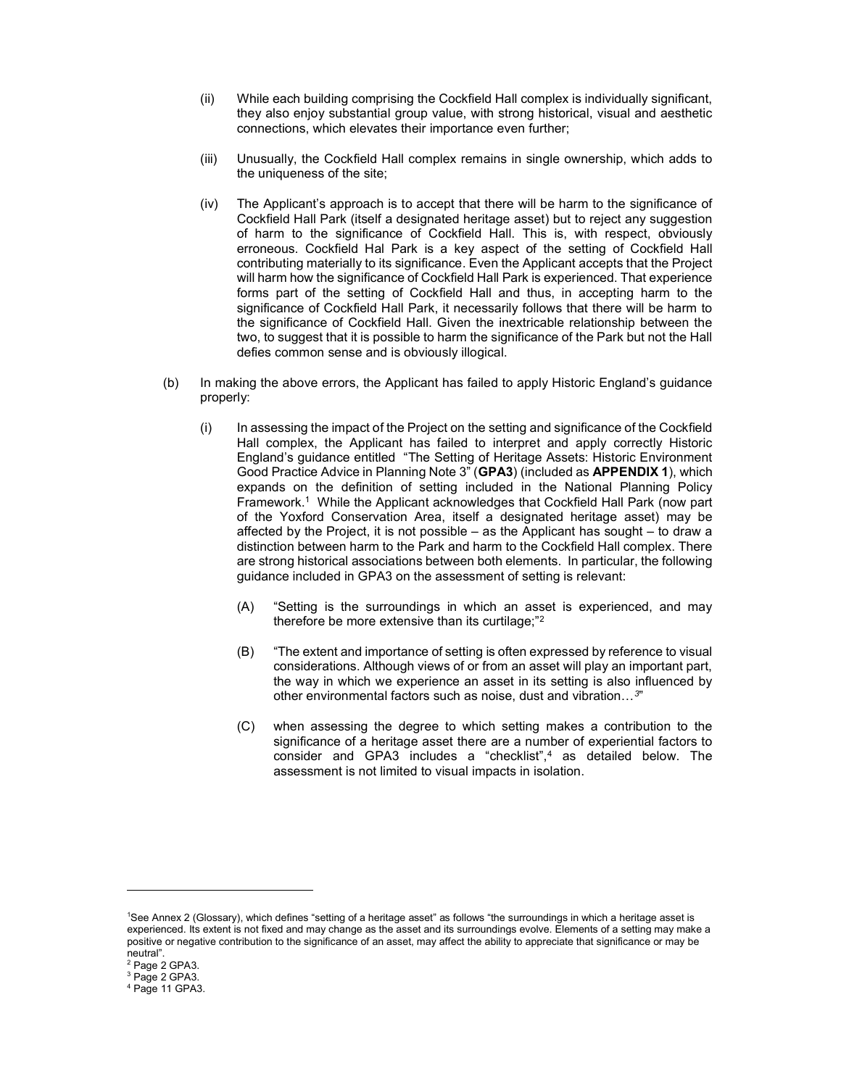- (ii) While each building comprising the Cockfield Hall complex is individually significant, they also enjoy substantial group value, with strong historical, visual and aesthetic connections, which elevates their importance even further;
- (iii) Unusually, the Cockfield Hall complex remains in single ownership, which adds to the uniqueness of the site;
- (iv) The Applicant's approach is to accept that there will be harm to the significance of Cockfield Hall Park (itself a designated heritage asset) but to reject any suggestion of harm to the significance of Cockfield Hall. This is, with respect, obviously erroneous. Cockfield Hal Park is a key aspect of the setting of Cockfield Hall contributing materially to its significance. Even the Applicant accepts that the Project will harm how the significance of Cockfield Hall Park is experienced. That experience forms part of the setting of Cockfield Hall and thus, in accepting harm to the significance of Cockfield Hall Park, it necessarily follows that there will be harm to the significance of Cockfield Hall. Given the inextricable relationship between the two, to suggest that it is possible to harm the significance of the Park but not the Hall defies common sense and is obviously illogical.
- (b) In making the above errors, the Applicant has failed to apply Historic England's guidance properly:
	- (i) In assessing the impact of the Project on the setting and significance of the Cockfield Hall complex, the Applicant has failed to interpret and apply correctly Historic England's guidance entitled "The Setting of Heritage Assets: Historic Environment Good Practice Advice in Planning Note 3" (GPA3) (included as APPENDIX 1), which expands on the definition of setting included in the National Planning Policy Framework.<sup>1</sup> While the Applicant acknowledges that Cockfield Hall Park (now part of the Yoxford Conservation Area, itself a designated heritage asset) may be affected by the Project, it is not possible – as the Applicant has sought – to draw a distinction between harm to the Park and harm to the Cockfield Hall complex. There are strong historical associations between both elements. In particular, the following guidance included in GPA3 on the assessment of setting is relevant:
		- (A) "Setting is the surroundings in which an asset is experienced, and may therefore be more extensive than its curtilage;"<sup>2</sup>
		- (B) "The extent and importance of setting is often expressed by reference to visual considerations. Although views of or from an asset will play an important part, the way in which we experience an asset in its setting is also influenced by other environmental factors such as noise, dust and vibration…<sup>3</sup> "
		- (C) when assessing the degree to which setting makes a contribution to the significance of a heritage asset there are a number of experiential factors to consider and GPA3 includes a "checklist",<sup>4</sup> as detailed below. The assessment is not limited to visual impacts in isolation.

<sup>1</sup>See Annex 2 (Glossary), which defines "setting of a heritage asset" as follows "the surroundings in which a heritage asset is experienced. Its extent is not fixed and may change as the asset and its surroundings evolve. Elements of a setting may make a positive or negative contribution to the significance of an asset, may affect the ability to appreciate that significance or may be neutral".

<sup>&</sup>lt;sup>2</sup> Page 2 GPA3.

<sup>3</sup> Page 2 GPA3.

<sup>4</sup> Page 11 GPA3.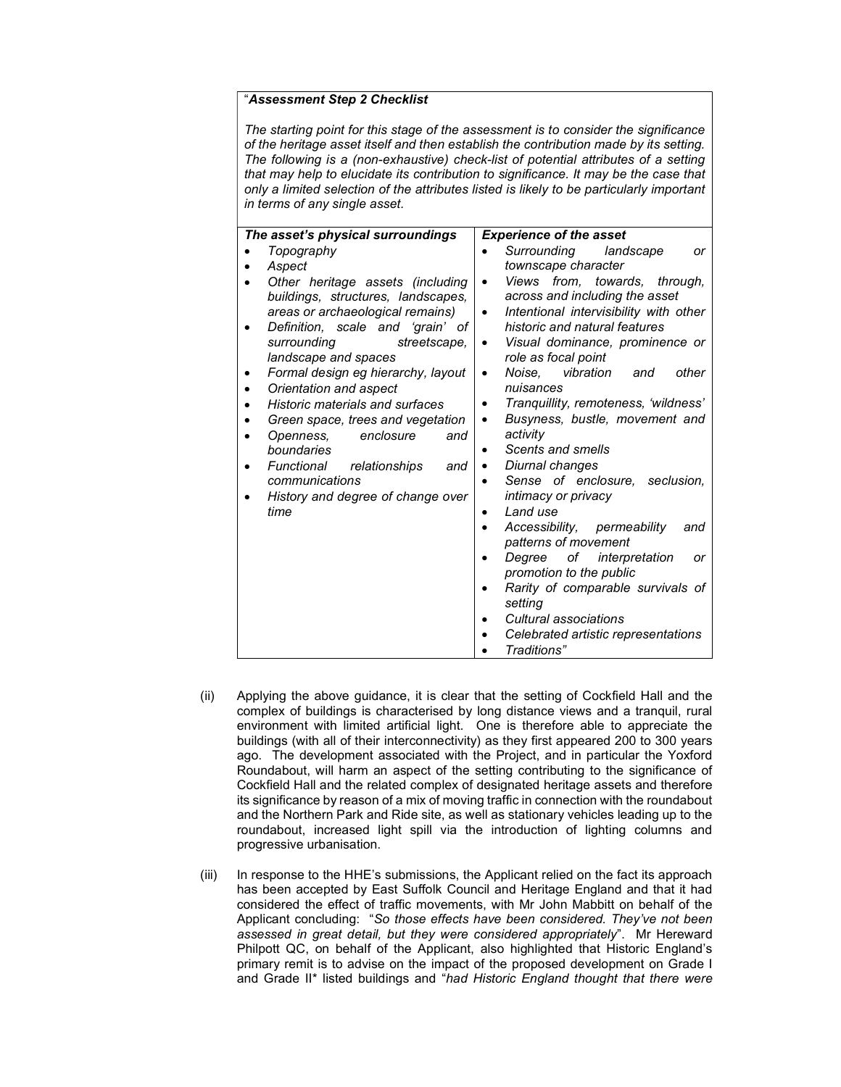## "Assessment Step 2 Checklist

The starting point for this stage of the assessment is to consider the significance of the heritage asset itself and then establish the contribution made by its setting. The following is a (non-exhaustive) check-list of potential attributes of a setting that may help to elucidate its contribution to significance. It may be the case that only a limited selection of the attributes listed is likely to be particularly important in terms of any single asset.

| The asset's physical surroundings                                                                                                                                                                                                                                                                                                                                                                                                                                                                                      | <b>Experience of the asset</b>                                                                                                                                                                                                                                                                                                                                                                                                                                                                                                                                                                                                                                                                                                                                                                                                 |
|------------------------------------------------------------------------------------------------------------------------------------------------------------------------------------------------------------------------------------------------------------------------------------------------------------------------------------------------------------------------------------------------------------------------------------------------------------------------------------------------------------------------|--------------------------------------------------------------------------------------------------------------------------------------------------------------------------------------------------------------------------------------------------------------------------------------------------------------------------------------------------------------------------------------------------------------------------------------------------------------------------------------------------------------------------------------------------------------------------------------------------------------------------------------------------------------------------------------------------------------------------------------------------------------------------------------------------------------------------------|
| Topography<br>Aspect<br>Other heritage assets (including<br>buildings, structures, landscapes,<br>areas or archaeological remains)<br>Definition, scale and 'grain' of<br>surrounding<br>streetscape.<br>landscape and spaces<br>Formal design eg hierarchy, layout<br>Orientation and aspect<br>Historic materials and surfaces<br>Green space, trees and vegetation<br>enclosure<br>Openness.<br>and<br>boundaries<br>Functional relationships<br>and<br>communications<br>History and degree of change over<br>time | Surrounding<br>landscape<br>or<br>townscape character<br>Views from, towards, through,<br>$\bullet$<br>across and including the asset<br>Intentional intervisibility with other<br>٠<br>historic and natural features<br>Visual dominance, prominence or<br>٠<br>role as focal point<br>vibration<br>Noise.<br>other<br>and<br>٠<br>nuisances<br>Tranquillity, remoteness, 'wildness'<br>Busyness, bustle, movement and<br>٠<br>activity<br>Scents and smells<br>Diurnal changes<br>Sense of enclosure, seclusion,<br>intimacy or privacy<br>Land use<br>٠<br>Accessibility, permeability<br>and<br>patterns of movement<br>of <i>interpretation</i><br>Degree<br>or<br>promotion to the public<br>Rarity of comparable survivals of<br>setting<br>Cultural associations<br>Celebrated artistic representations<br>Traditions" |

- (ii) Applying the above guidance, it is clear that the setting of Cockfield Hall and the complex of buildings is characterised by long distance views and a tranquil, rural environment with limited artificial light. One is therefore able to appreciate the buildings (with all of their interconnectivity) as they first appeared 200 to 300 years ago. The development associated with the Project, and in particular the Yoxford Roundabout, will harm an aspect of the setting contributing to the significance of Cockfield Hall and the related complex of designated heritage assets and therefore its significance by reason of a mix of moving traffic in connection with the roundabout and the Northern Park and Ride site, as well as stationary vehicles leading up to the roundabout, increased light spill via the introduction of lighting columns and progressive urbanisation.
- (iii) In response to the HHE's submissions, the Applicant relied on the fact its approach has been accepted by East Suffolk Council and Heritage England and that it had considered the effect of traffic movements, with Mr John Mabbitt on behalf of the Applicant concluding: "So those effects have been considered. They've not been assessed in great detail, but they were considered appropriately". Mr Hereward Philpott QC, on behalf of the Applicant, also highlighted that Historic England's primary remit is to advise on the impact of the proposed development on Grade I and Grade II\* listed buildings and "had Historic England thought that there were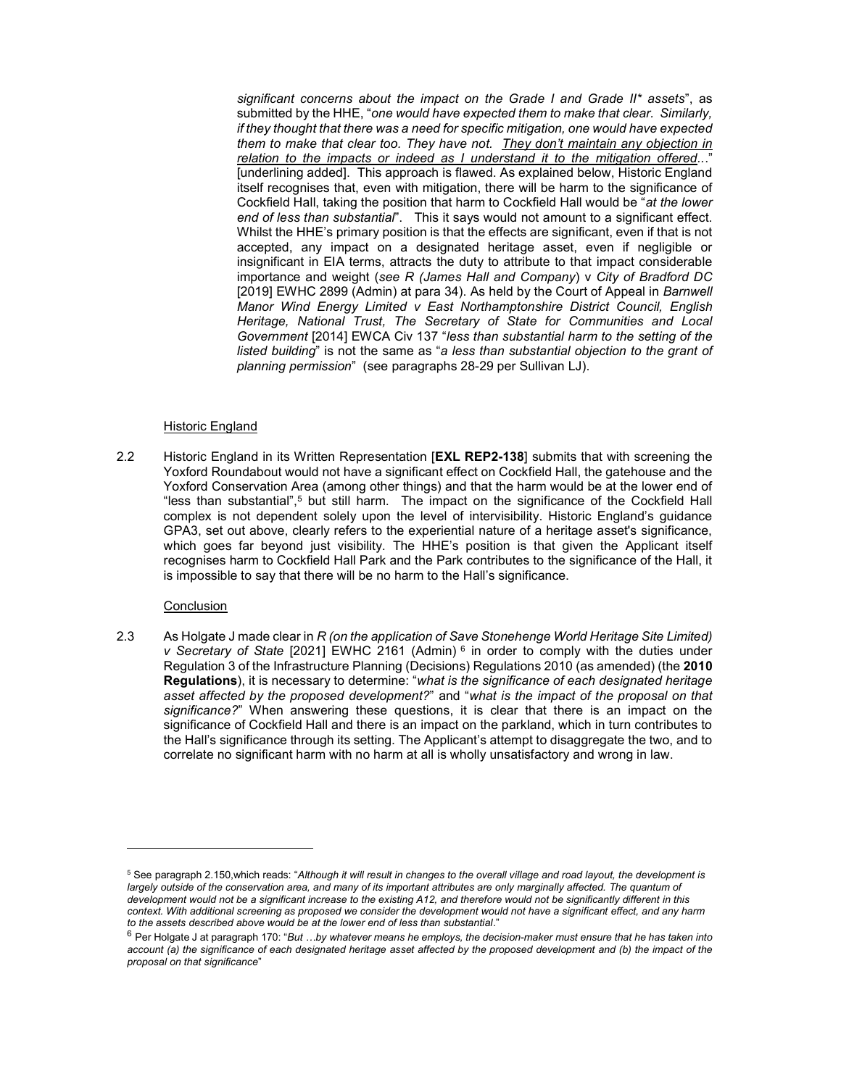significant concerns about the impact on the Grade I and Grade II\* assets", as submitted by the HHE, "one would have expected them to make that clear. Similarly, if they thought that there was a need for specific mitigation, one would have expected them to make that clear too. They have not. They don't maintain any objection in relation to the impacts or indeed as  $I$  understand it to the mitigation offered... [underlining added]. This approach is flawed. As explained below, Historic England itself recognises that, even with mitigation, there will be harm to the significance of Cockfield Hall, taking the position that harm to Cockfield Hall would be "at the lower end of less than substantial". This it says would not amount to a significant effect. Whilst the HHE's primary position is that the effects are significant, even if that is not accepted, any impact on a designated heritage asset, even if negligible or insignificant in EIA terms, attracts the duty to attribute to that impact considerable importance and weight (see R (James Hall and Company)  $v$  City of Bradford DC [2019] EWHC 2899 (Admin) at para 34). As held by the Court of Appeal in Barnwell Manor Wind Energy Limited v East Northamptonshire District Council, English Heritage, National Trust, The Secretary of State for Communities and Local Government [2014] EWCA Civ 137 "less than substantial harm to the setting of the listed building" is not the same as "a less than substantial objection to the grant of planning permission" (see paragraphs 28-29 per Sullivan LJ).

### Historic England

2.2 Historic England in its Written Representation **[EXL REP2-138]** submits that with screening the Yoxford Roundabout would not have a significant effect on Cockfield Hall, the gatehouse and the Yoxford Conservation Area (among other things) and that the harm would be at the lower end of "less than substantial",<sup>5</sup> but still harm. The impact on the significance of the Cockfield Hall complex is not dependent solely upon the level of intervisibility. Historic England's guidance GPA3, set out above, clearly refers to the experiential nature of a heritage asset's significance, which goes far beyond just visibility. The HHE's position is that given the Applicant itself recognises harm to Cockfield Hall Park and the Park contributes to the significance of the Hall, it is impossible to say that there will be no harm to the Hall's significance.

### **Conclusion**

2.3 As Holgate J made clear in R (on the application of Save Stonehenge World Heritage Site Limited) v Secretary of State [2021] EWHC 2161 (Admin)<sup>6</sup> in order to comply with the duties under Regulation 3 of the Infrastructure Planning (Decisions) Regulations 2010 (as amended) (the 2010 Regulations), it is necessary to determine: "what is the significance of each designated heritage asset affected by the proposed development?" and "what is the impact of the proposal on that significance?" When answering these questions, it is clear that there is an impact on the significance of Cockfield Hall and there is an impact on the parkland, which in turn contributes to the Hall's significance through its setting. The Applicant's attempt to disaggregate the two, and to correlate no significant harm with no harm at all is wholly unsatisfactory and wrong in law.

<sup>&</sup>lt;sup>5</sup> See paragraph 2.150,which reads: "Although it will result in changes to the overall village and road layout, the development is largely outside of the conservation area, and many of its important attributes are only marginally affected. The quantum of development would not be a significant increase to the existing A12, and therefore would not be significantly different in this context. With additional screening as proposed we consider the development would not have a significant effect, and any harm to the assets described above would be at the lower end of less than substantial."

 $6$  Per Holgate J at paragraph 170: "But ...by whatever means he employs, the decision-maker must ensure that he has taken into account (a) the significance of each designated heritage asset affected by the proposed development and (b) the impact of the proposal on that significance"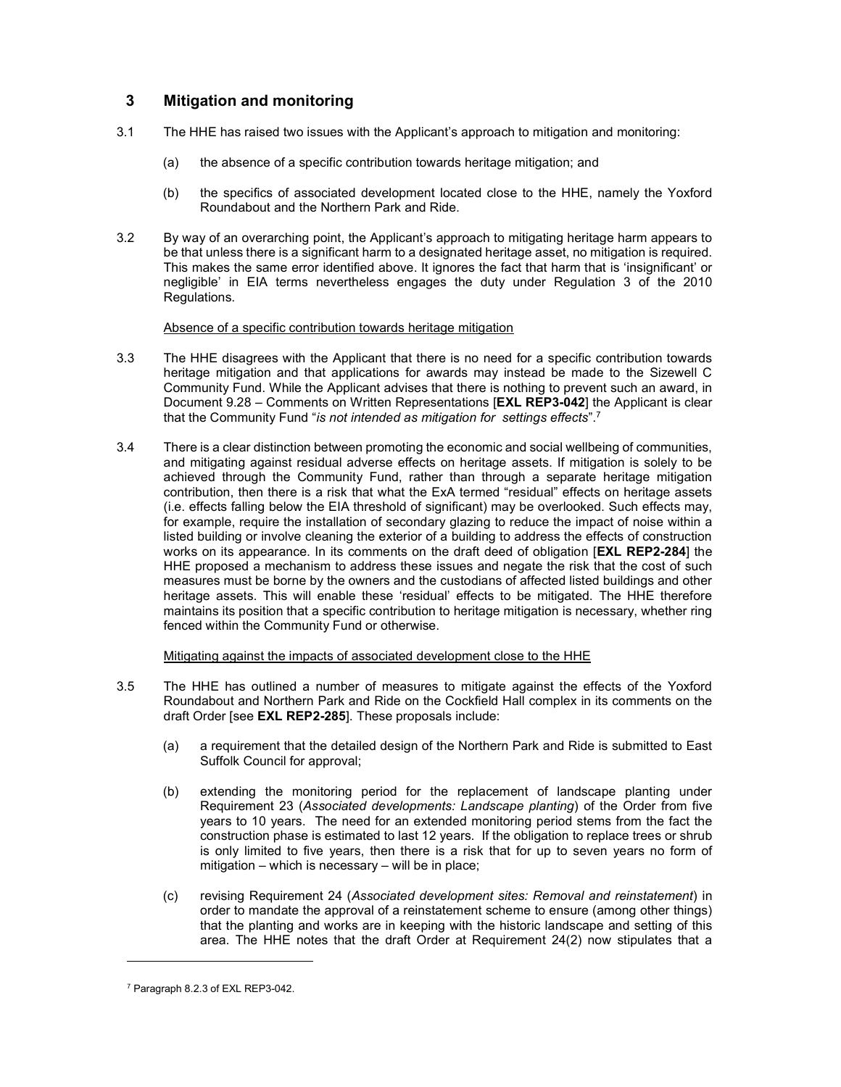# 3 Mitigation and monitoring

- 3.1 The HHE has raised two issues with the Applicant's approach to mitigation and monitoring:
	- (a) the absence of a specific contribution towards heritage mitigation; and
	- (b) the specifics of associated development located close to the HHE, namely the Yoxford Roundabout and the Northern Park and Ride.
- 3.2 By way of an overarching point, the Applicant's approach to mitigating heritage harm appears to be that unless there is a significant harm to a designated heritage asset, no mitigation is required. This makes the same error identified above. It ignores the fact that harm that is 'insignificant' or negligible' in EIA terms nevertheless engages the duty under Regulation 3 of the 2010 Regulations.

### Absence of a specific contribution towards heritage mitigation

- 3.3 The HHE disagrees with the Applicant that there is no need for a specific contribution towards heritage mitigation and that applications for awards may instead be made to the Sizewell C Community Fund. While the Applicant advises that there is nothing to prevent such an award, in Document 9.28 – Comments on Written Representations [**EXL REP3-042**] the Applicant is clear that the Community Fund "is not intended as mitigation for settings effects".<sup>7</sup>
- 3.4 There is a clear distinction between promoting the economic and social wellbeing of communities, and mitigating against residual adverse effects on heritage assets. If mitigation is solely to be achieved through the Community Fund, rather than through a separate heritage mitigation contribution, then there is a risk that what the ExA termed "residual" effects on heritage assets (i.e. effects falling below the EIA threshold of significant) may be overlooked. Such effects may, for example, require the installation of secondary glazing to reduce the impact of noise within a listed building or involve cleaning the exterior of a building to address the effects of construction works on its appearance. In its comments on the draft deed of obligation [EXL REP2-284] the HHE proposed a mechanism to address these issues and negate the risk that the cost of such measures must be borne by the owners and the custodians of affected listed buildings and other heritage assets. This will enable these 'residual' effects to be mitigated. The HHE therefore maintains its position that a specific contribution to heritage mitigation is necessary, whether ring fenced within the Community Fund or otherwise.

Mitigating against the impacts of associated development close to the HHE

- 3.5 The HHE has outlined a number of measures to mitigate against the effects of the Yoxford Roundabout and Northern Park and Ride on the Cockfield Hall complex in its comments on the draft Order [see EXL REP2-285]. These proposals include:
	- (a) a requirement that the detailed design of the Northern Park and Ride is submitted to East Suffolk Council for approval;
	- (b) extending the monitoring period for the replacement of landscape planting under Requirement 23 (Associated developments: Landscape planting) of the Order from five years to 10 years. The need for an extended monitoring period stems from the fact the construction phase is estimated to last 12 years. If the obligation to replace trees or shrub is only limited to five years, then there is a risk that for up to seven years no form of mitigation – which is necessary – will be in place;
	- (c) revising Requirement 24 (Associated development sites: Removal and reinstatement) in order to mandate the approval of a reinstatement scheme to ensure (among other things) that the planting and works are in keeping with the historic landscape and setting of this area. The HHE notes that the draft Order at Requirement 24(2) now stipulates that a

<sup>7</sup> Paragraph 8.2.3 of EXL REP3-042.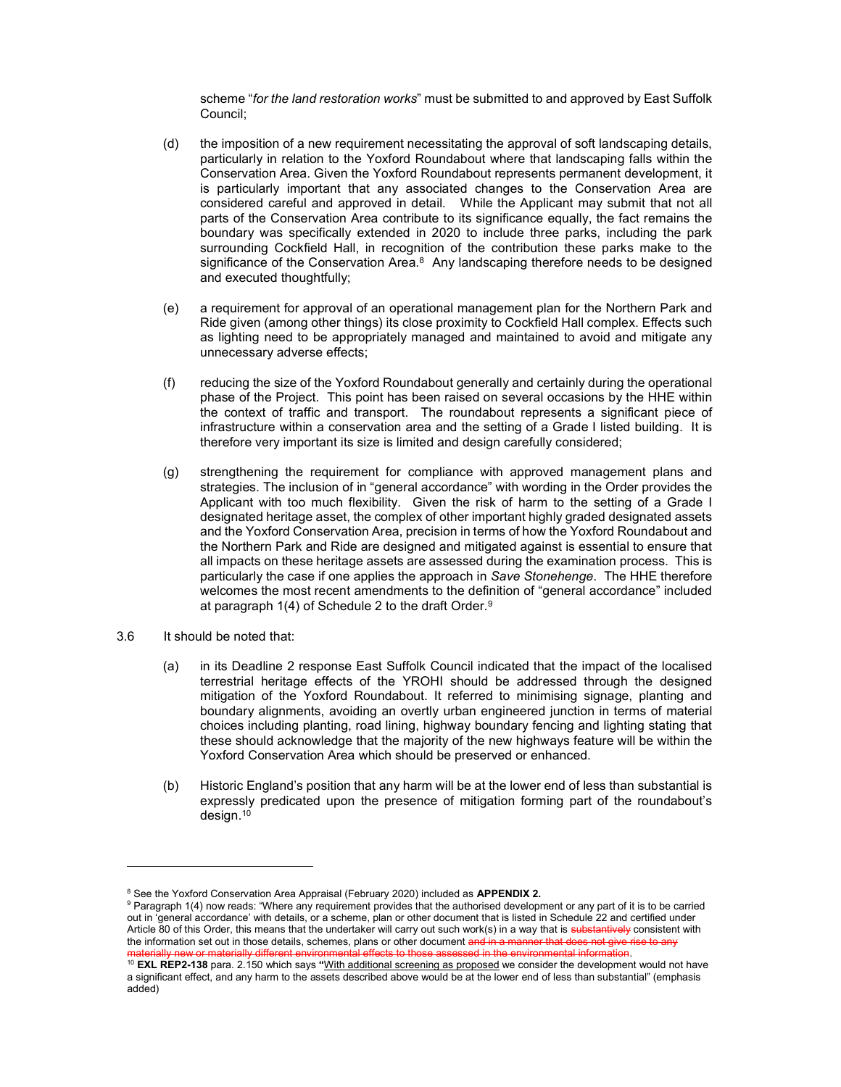scheme "for the land restoration works" must be submitted to and approved by East Suffolk Council;

- (d) the imposition of a new requirement necessitating the approval of soft landscaping details, particularly in relation to the Yoxford Roundabout where that landscaping falls within the Conservation Area. Given the Yoxford Roundabout represents permanent development, it is particularly important that any associated changes to the Conservation Area are considered careful and approved in detail. While the Applicant may submit that not all parts of the Conservation Area contribute to its significance equally, the fact remains the boundary was specifically extended in 2020 to include three parks, including the park surrounding Cockfield Hall, in recognition of the contribution these parks make to the significance of the Conservation Area.<sup>8</sup> Any landscaping therefore needs to be designed and executed thoughtfully;
- (e) a requirement for approval of an operational management plan for the Northern Park and Ride given (among other things) its close proximity to Cockfield Hall complex. Effects such as lighting need to be appropriately managed and maintained to avoid and mitigate any unnecessary adverse effects;
- (f) reducing the size of the Yoxford Roundabout generally and certainly during the operational phase of the Project. This point has been raised on several occasions by the HHE within the context of traffic and transport. The roundabout represents a significant piece of infrastructure within a conservation area and the setting of a Grade I listed building. It is therefore very important its size is limited and design carefully considered;
- (g) strengthening the requirement for compliance with approved management plans and strategies. The inclusion of in "general accordance" with wording in the Order provides the Applicant with too much flexibility. Given the risk of harm to the setting of a Grade I designated heritage asset, the complex of other important highly graded designated assets and the Yoxford Conservation Area, precision in terms of how the Yoxford Roundabout and the Northern Park and Ride are designed and mitigated against is essential to ensure that all impacts on these heritage assets are assessed during the examination process. This is particularly the case if one applies the approach in Save Stonehenge. The HHE therefore welcomes the most recent amendments to the definition of "general accordance" included at paragraph 1(4) of Schedule 2 to the draft Order.<sup>9</sup>
- 3.6 It should be noted that:

- (a) in its Deadline 2 response East Suffolk Council indicated that the impact of the localised terrestrial heritage effects of the YROHI should be addressed through the designed mitigation of the Yoxford Roundabout. It referred to minimising signage, planting and boundary alignments, avoiding an overtly urban engineered junction in terms of material choices including planting, road lining, highway boundary fencing and lighting stating that these should acknowledge that the majority of the new highways feature will be within the Yoxford Conservation Area which should be preserved or enhanced.
- (b) Historic England's position that any harm will be at the lower end of less than substantial is expressly predicated upon the presence of mitigation forming part of the roundabout's design.<sup>10</sup>

<sup>&</sup>lt;sup>8</sup> See the Yoxford Conservation Area Appraisal (February 2020) included as APPENDIX 2.

 $^9$  Paragraph 1(4) now reads: "Where any requirement provides that the authorised development or any part of it is to be carried out in 'general accordance' with details, or a scheme, plan or other document that is listed in Schedule 22 and certified under Article 80 of this Order, this means that the undertaker will carry out such work(s) in a way that is substantively consistent with the information set out in those details, schemes, plans or other document and in a manner that does not give materially new or materially different environmental effects to those assessed in the environmental information.

<sup>&</sup>lt;sup>10</sup> EXL REP2-138 para. 2.150 which says "With additional screening as proposed we consider the development would not have a significant effect, and any harm to the assets described above would be at the lower end of less than substantial" (emphasis added)